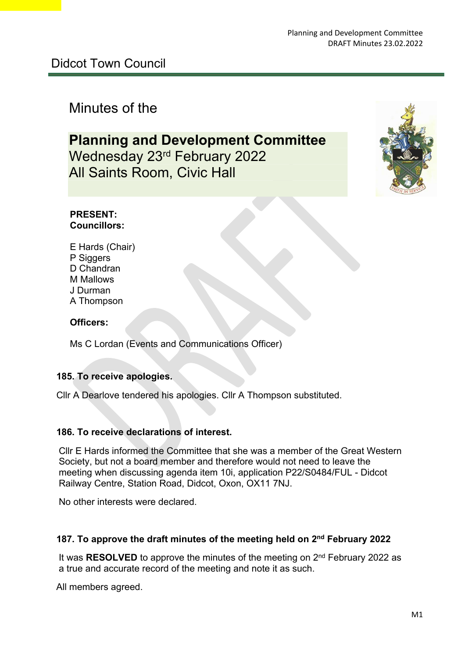# Minutes of the

# **Planning and Development Committee** Wednesday 23rd February 2022 All Saints Room, Civic Hall



#### **PRESENT: Councillors:**

E Hards (Chair) P Siggers D Chandran M Mallows J Durman A Thompson

#### **Officers:**

Ms C Lordan (Events and Communications Officer)

#### **185. To receive apologies.**

Cllr A Dearlove tendered his apologies. Cllr A Thompson substituted.

#### **186. To receive declarations of interest.**

Cllr E Hards informed the Committee that she was a member of the Great Western Society, but not a board member and therefore would not need to leave the meeting when discussing agenda item 10i, application P22/S0484/FUL - Didcot Railway Centre, Station Road, Didcot, Oxon, OX11 7NJ.

No other interests were declared.

#### **187. To approve the draft minutes of the meeting held on 2nd February 2022**

 It was **RESOLVED** to approve the minutes of the meeting on 2nd February 2022 as a true and accurate record of the meeting and note it as such.

All members agreed.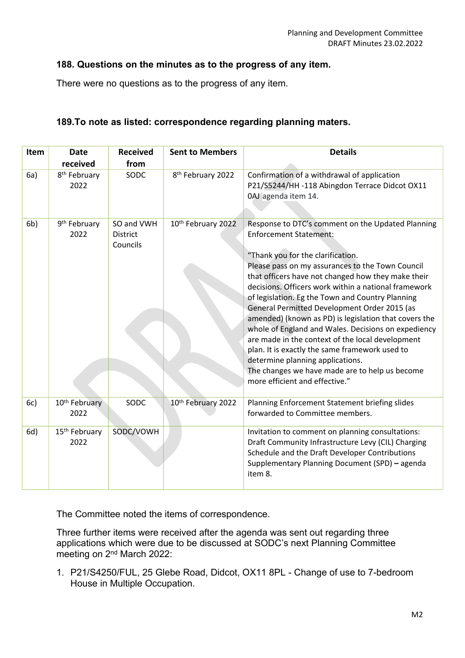#### **188. Questions on the minutes as to the progress of any item.**

There were no questions as to the progress of any item.

| Item           | <b>Date</b><br>received           | <b>Received</b><br>from                   | <b>Sent to Members</b>        | <b>Details</b>                                                                                                                                                                                                                                                                                                                                                                                                                                                                                                                                                                                                                                                                                                                              |
|----------------|-----------------------------------|-------------------------------------------|-------------------------------|---------------------------------------------------------------------------------------------------------------------------------------------------------------------------------------------------------------------------------------------------------------------------------------------------------------------------------------------------------------------------------------------------------------------------------------------------------------------------------------------------------------------------------------------------------------------------------------------------------------------------------------------------------------------------------------------------------------------------------------------|
| 6a)            | 8 <sup>th</sup> February<br>2022  | SODC                                      | 8 <sup>th</sup> February 2022 | Confirmation of a withdrawal of application<br>P21/S5244/HH -118 Abingdon Terrace Didcot OX11<br>0AJ agenda item 14.                                                                                                                                                                                                                                                                                                                                                                                                                                                                                                                                                                                                                        |
| 6 <sub>b</sub> | 9 <sup>th</sup> February<br>2022  | SO and VWH<br><b>District</b><br>Councils | 10th February 2022            | Response to DTC's comment on the Updated Planning<br><b>Enforcement Statement:</b><br>"Thank you for the clarification.<br>Please pass on my assurances to the Town Council<br>that officers have not changed how they make their<br>decisions. Officers work within a national framework<br>of legislation. Eg the Town and Country Planning<br>General Permitted Development Order 2015 (as<br>amended) (known as PD) is legislation that covers the<br>whole of England and Wales. Decisions on expediency<br>are made in the context of the local development<br>plan. It is exactly the same framework used to<br>determine planning applications.<br>The changes we have made are to help us become<br>more efficient and effective." |
| 6c)            | 10 <sup>th</sup> February<br>2022 | SODC                                      | 10th February 2022            | Planning Enforcement Statement briefing slides<br>forwarded to Committee members.                                                                                                                                                                                                                                                                                                                                                                                                                                                                                                                                                                                                                                                           |
| 6d)            | 15 <sup>th</sup> February<br>2022 | SODC/VOWH                                 |                               | Invitation to comment on planning consultations:<br>Draft Community Infrastructure Levy (CIL) Charging<br>Schedule and the Draft Developer Contributions<br>Supplementary Planning Document (SPD) - agenda<br>item 8.                                                                                                                                                                                                                                                                                                                                                                                                                                                                                                                       |

The Committee noted the items of correspondence.

Three further items were received after the agenda was sent out regarding three applications which were due to be discussed at SODC's next Planning Committee meeting on 2<sup>nd</sup> March 2022:

1. P21/S4250/FUL, 25 Glebe Road, Didcot, OX11 8PL - Change of use to 7-bedroom House in Multiple Occupation.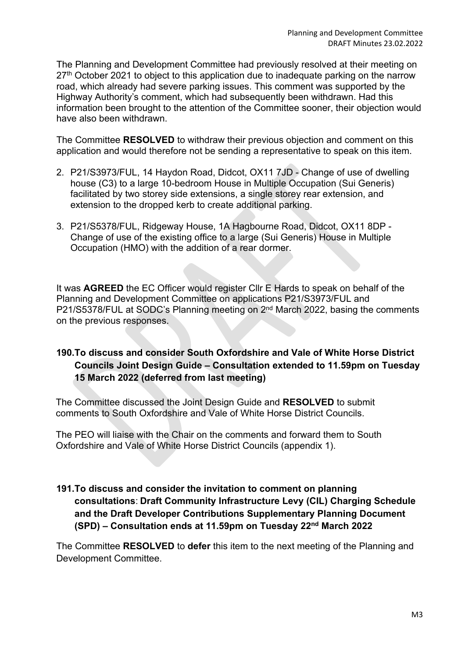The Planning and Development Committee had previously resolved at their meeting on 27<sup>th</sup> October 2021 to object to this application due to inadequate parking on the narrow road, which already had severe parking issues. This comment was supported by the Highway Authority's comment, which had subsequently been withdrawn. Had this information been brought to the attention of the Committee sooner, their objection would have also been withdrawn.

The Committee **RESOLVED** to withdraw their previous objection and comment on this application and would therefore not be sending a representative to speak on this item.

- 2. P21/S3973/FUL, 14 Haydon Road, Didcot, OX11 7JD Change of use of dwelling house (C3) to a large 10-bedroom House in Multiple Occupation (Sui Generis) facilitated by two storey side extensions, a single storey rear extension, and extension to the dropped kerb to create additional parking.
- 3. P21/S5378/FUL, Ridgeway House, 1A Hagbourne Road, Didcot, OX11 8DP Change of use of the existing office to a large (Sui Generis) House in Multiple Occupation (HMO) with the addition of a rear dormer.

It was **AGREED** the EC Officer would register Cllr E Hards to speak on behalf of the Planning and Development Committee on applications P21/S3973/FUL and P21/S5378/FUL at SODC's Planning meeting on 2nd March 2022, basing the comments on the previous responses.

# **190.To discuss and consider South Oxfordshire and Vale of White Horse District Councils Joint Design Guide – Consultation extended to 11.59pm on Tuesday 15 March 2022 (deferred from last meeting)**

The Committee discussed the Joint Design Guide and **RESOLVED** to submit comments to South Oxfordshire and Vale of White Horse District Councils.

The PEO will liaise with the Chair on the comments and forward them to South Oxfordshire and Vale of White Horse District Councils (appendix 1).

**191.To discuss and consider the invitation to comment on planning consultations**: **Draft Community Infrastructure Levy (CIL) Charging Schedule and the Draft Developer Contributions Supplementary Planning Document (SPD) – Consultation ends at 11.59pm on Tuesday 22nd March 2022**

The Committee **RESOLVED** to **defer** this item to the next meeting of the Planning and Development Committee.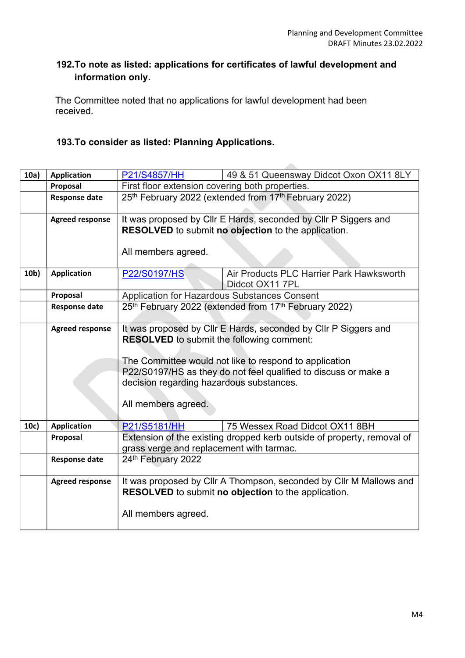## **192.To note as listed: applications for certificates of lawful development and information only.**

 $\overline{\phantom{a}}$ 

The Committee noted that no applications for lawful development had been received.

## **193.To consider as listed: Planning Applications.**

| 10a)            | <b>Application</b>     | P21/S4857/HH                                                                                                        | 49 & 51 Queensway Didcot Oxon OX11 8LY                                 |  |
|-----------------|------------------------|---------------------------------------------------------------------------------------------------------------------|------------------------------------------------------------------------|--|
|                 | Proposal               | First floor extension covering both properties.                                                                     |                                                                        |  |
|                 | <b>Response date</b>   | 25th February 2022 (extended from 17th February 2022)                                                               |                                                                        |  |
|                 |                        |                                                                                                                     |                                                                        |  |
|                 | <b>Agreed response</b> | It was proposed by Cllr E Hards, seconded by Cllr P Siggers and                                                     |                                                                        |  |
|                 |                        | RESOLVED to submit no objection to the application.                                                                 |                                                                        |  |
|                 |                        |                                                                                                                     |                                                                        |  |
|                 |                        | All members agreed.                                                                                                 |                                                                        |  |
|                 |                        |                                                                                                                     |                                                                        |  |
| 10 <sub>b</sub> | <b>Application</b>     | P22/S0197/HS                                                                                                        | Air Products PLC Harrier Park Hawksworth                               |  |
|                 |                        |                                                                                                                     | Didcot OX11 7PL                                                        |  |
|                 | Proposal               | Application for Hazardous Substances Consent                                                                        |                                                                        |  |
|                 | <b>Response date</b>   | 25th February 2022 (extended from 17th February 2022)                                                               |                                                                        |  |
|                 |                        |                                                                                                                     |                                                                        |  |
|                 | <b>Agreed response</b> | It was proposed by CIIr E Hards, seconded by CIIr P Siggers and<br><b>RESOLVED</b> to submit the following comment: |                                                                        |  |
|                 |                        |                                                                                                                     |                                                                        |  |
|                 |                        |                                                                                                                     |                                                                        |  |
|                 |                        | The Committee would not like to respond to application                                                              |                                                                        |  |
|                 |                        | P22/S0197/HS as they do not feel qualified to discuss or make a                                                     |                                                                        |  |
|                 |                        | decision regarding hazardous substances.                                                                            |                                                                        |  |
|                 |                        |                                                                                                                     |                                                                        |  |
|                 |                        | All members agreed.                                                                                                 |                                                                        |  |
|                 |                        |                                                                                                                     |                                                                        |  |
| 10c)            | <b>Application</b>     | P21/S5181/HH                                                                                                        | 75 Wessex Road Didcot OX11 8BH                                         |  |
|                 | Proposal               |                                                                                                                     | Extension of the existing dropped kerb outside of property, removal of |  |
|                 |                        | grass verge and replacement with tarmac.                                                                            |                                                                        |  |
|                 | <b>Response date</b>   | 24th February 2022                                                                                                  |                                                                        |  |
|                 |                        |                                                                                                                     |                                                                        |  |
|                 | <b>Agreed response</b> | It was proposed by Cllr A Thompson, seconded by Cllr M Mallows and                                                  |                                                                        |  |
|                 |                        | <b>RESOLVED</b> to submit no objection to the application.                                                          |                                                                        |  |
|                 |                        |                                                                                                                     |                                                                        |  |
|                 |                        | All members agreed.                                                                                                 |                                                                        |  |
|                 |                        |                                                                                                                     |                                                                        |  |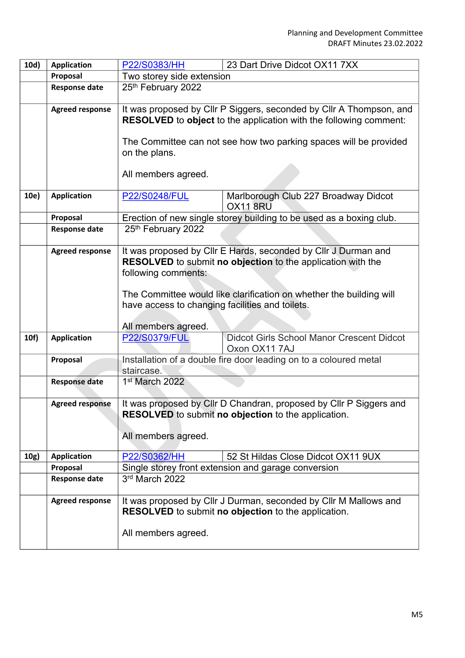| 10d) | <b>Application</b>     | 23 Dart Drive Didcot OX11 7XX<br>P22/S0383/HH                                                                                                   |  |  |
|------|------------------------|-------------------------------------------------------------------------------------------------------------------------------------------------|--|--|
|      | Proposal               | Two storey side extension                                                                                                                       |  |  |
|      | <b>Response date</b>   | 25th February 2022                                                                                                                              |  |  |
|      | <b>Agreed response</b> | It was proposed by Cllr P Siggers, seconded by Cllr A Thompson, and<br><b>RESOLVED</b> to object to the application with the following comment: |  |  |
|      |                        | The Committee can not see how two parking spaces will be provided<br>on the plans.                                                              |  |  |
|      |                        | All members agreed.                                                                                                                             |  |  |
| 10e) | <b>Application</b>     | Marlborough Club 227 Broadway Didcot<br><b>P22/S0248/FUL</b><br><b>OX11 8RU</b>                                                                 |  |  |
|      | Proposal               | Erection of new single storey building to be used as a boxing club.                                                                             |  |  |
|      | <b>Response date</b>   | 25th February 2022                                                                                                                              |  |  |
|      | <b>Agreed response</b> | It was proposed by Cllr E Hards, seconded by Cllr J Durman and<br><b>RESOLVED</b> to submit no objection to the application with the            |  |  |
|      |                        |                                                                                                                                                 |  |  |
|      |                        | following comments:                                                                                                                             |  |  |
|      |                        | The Committee would like clarification on whether the building will                                                                             |  |  |
|      |                        | have access to changing facilities and toilets.                                                                                                 |  |  |
|      |                        |                                                                                                                                                 |  |  |
|      |                        | All members agreed.                                                                                                                             |  |  |
| 10f) | <b>Application</b>     | <b>Didcot Girls School Manor Crescent Didcot</b><br><b>P22/S0379/FUL</b><br>Oxon OX11 7AJ                                                       |  |  |
|      | Proposal               | Installation of a double fire door leading on to a coloured metal<br>staircase.                                                                 |  |  |
|      | <b>Response date</b>   | 1 <sup>st</sup> March 2022                                                                                                                      |  |  |
|      | <b>Agreed response</b> | It was proposed by Cllr D Chandran, proposed by Cllr P Siggers and<br>RESOLVED to submit no objection to the application.                       |  |  |
|      |                        | All members agreed.                                                                                                                             |  |  |
| 10g) | <b>Application</b>     | P22/S0362/HH<br>52 St Hildas Close Didcot OX11 9UX                                                                                              |  |  |
|      | Proposal               | Single storey front extension and garage conversion                                                                                             |  |  |
|      | <b>Response date</b>   | 3rd March 2022                                                                                                                                  |  |  |
|      | <b>Agreed response</b> | It was proposed by Cllr J Durman, seconded by Cllr M Mallows and<br>RESOLVED to submit no objection to the application.                         |  |  |
|      |                        | All members agreed.                                                                                                                             |  |  |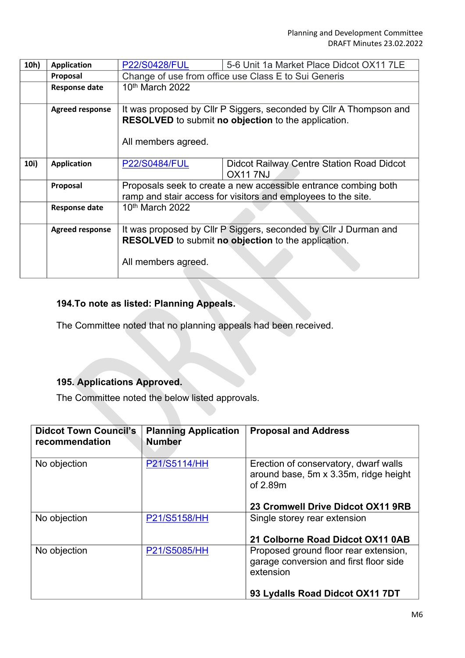| 10h) | <b>Application</b>     | <b>P22/S0428/FUL</b>                                                                                                                                    | 5-6 Unit 1a Market Place Didcot OX11 7LE                    |  |
|------|------------------------|---------------------------------------------------------------------------------------------------------------------------------------------------------|-------------------------------------------------------------|--|
|      | Proposal               | Change of use from office use Class E to Sui Generis                                                                                                    |                                                             |  |
|      | <b>Response date</b>   | 10th March 2022                                                                                                                                         |                                                             |  |
|      | <b>Agreed response</b> | It was proposed by Cllr P Siggers, seconded by Cllr A Thompson and<br><b>RESOLVED</b> to submit no objection to the application.<br>All members agreed. |                                                             |  |
| 10i) | <b>Application</b>     | <b>P22/S0484/FUL</b>                                                                                                                                    | Didcot Railway Centre Station Road Didcot<br><b>OX117NJ</b> |  |
|      | Proposal               | Proposals seek to create a new accessible entrance combing both<br>ramp and stair access for visitors and employees to the site.                        |                                                             |  |
|      | <b>Response date</b>   | 10th March 2022                                                                                                                                         |                                                             |  |
|      | <b>Agreed response</b> | It was proposed by Cllr P Siggers, seconded by Cllr J Durman and<br>RESOLVED to submit no objection to the application.<br>All members agreed.          |                                                             |  |

# **194.To note as listed: Planning Appeals.**

The Committee noted that no planning appeals had been received.

## **195. Applications Approved.**

The Committee noted the below listed approvals.

| <b>Didcot Town Council's</b><br>recommendation | <b>Planning Application</b><br><b>Number</b> | <b>Proposal and Address</b>                                                                                                     |
|------------------------------------------------|----------------------------------------------|---------------------------------------------------------------------------------------------------------------------------------|
| No objection                                   | P21/S5114/HH                                 | Erection of conservatory, dwarf walls<br>around base, 5m x 3.35m, ridge height<br>of 2.89m<br>23 Cromwell Drive Didcot OX11 9RB |
| No objection                                   | P21/S5158/HH                                 | Single storey rear extension<br>21 Colborne Road Didcot OX11 0AB                                                                |
| No objection                                   | P21/S5085/HH                                 | Proposed ground floor rear extension,<br>garage conversion and first floor side<br>extension                                    |
|                                                |                                              | 93 Lydalls Road Didcot OX11 7DT                                                                                                 |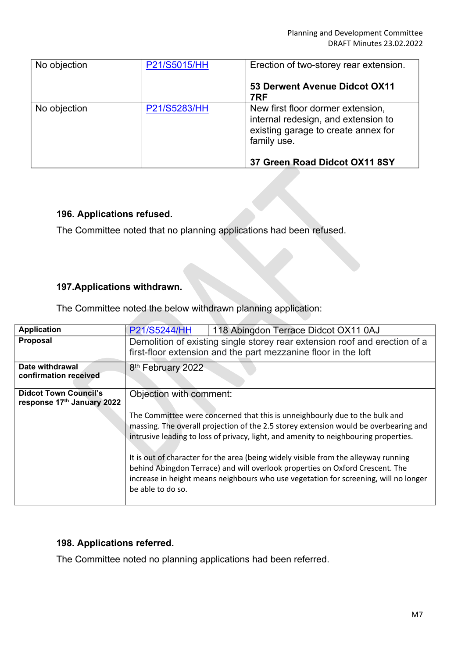| No objection | P21/S5015/HH | Erection of two-storey rear extension.                                                                                         |
|--------------|--------------|--------------------------------------------------------------------------------------------------------------------------------|
|              |              | 53 Derwent Avenue Didcot OX11<br>7RF                                                                                           |
| No objection | P21/S5283/HH | New first floor dormer extension,<br>internal redesign, and extension to<br>existing garage to create annex for<br>family use. |
|              |              | 37 Green Road Didcot OX11 8SY                                                                                                  |

## **196. Applications refused.**

The Committee noted that no planning applications had been refused.

#### **197.Applications withdrawn.**

The Committee noted the below withdrawn planning application:

| <b>P21/S5244/HH</b><br>118 Abingdon Terrace Didcot OX11 0AJ                                                                                                                                                                                                                       |  |  |
|-----------------------------------------------------------------------------------------------------------------------------------------------------------------------------------------------------------------------------------------------------------------------------------|--|--|
| Demolition of existing single storey rear extension roof and erection of a<br>first-floor extension and the part mezzanine floor in the loft                                                                                                                                      |  |  |
| 8 <sup>th</sup> February 2022                                                                                                                                                                                                                                                     |  |  |
| Objection with comment:<br>response 17th January 2022                                                                                                                                                                                                                             |  |  |
| The Committee were concerned that this is unneighbourly due to the bulk and<br>massing. The overall projection of the 2.5 storey extension would be overbearing and<br>intrusive leading to loss of privacy, light, and amenity to neighbouring properties.                       |  |  |
| It is out of character for the area (being widely visible from the alleyway running<br>behind Abingdon Terrace) and will overlook properties on Oxford Crescent. The<br>increase in height means neighbours who use vegetation for screening, will no longer<br>be able to do so. |  |  |
|                                                                                                                                                                                                                                                                                   |  |  |

#### **198. Applications referred.**

The Committee noted no planning applications had been referred.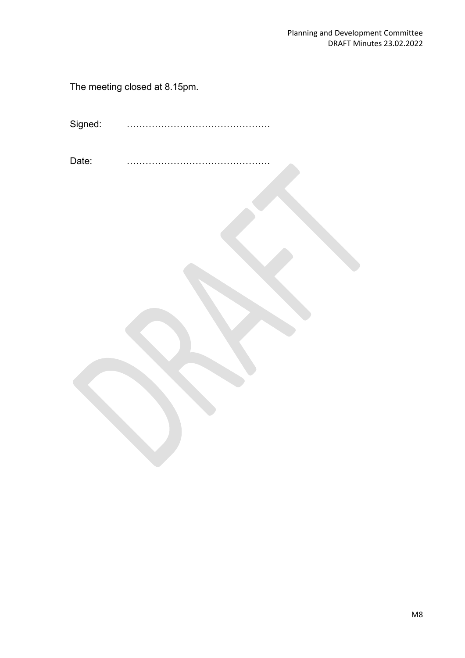The meeting closed at 8.15pm.

Signed: ……………………………………….

Date: ……………………………………….